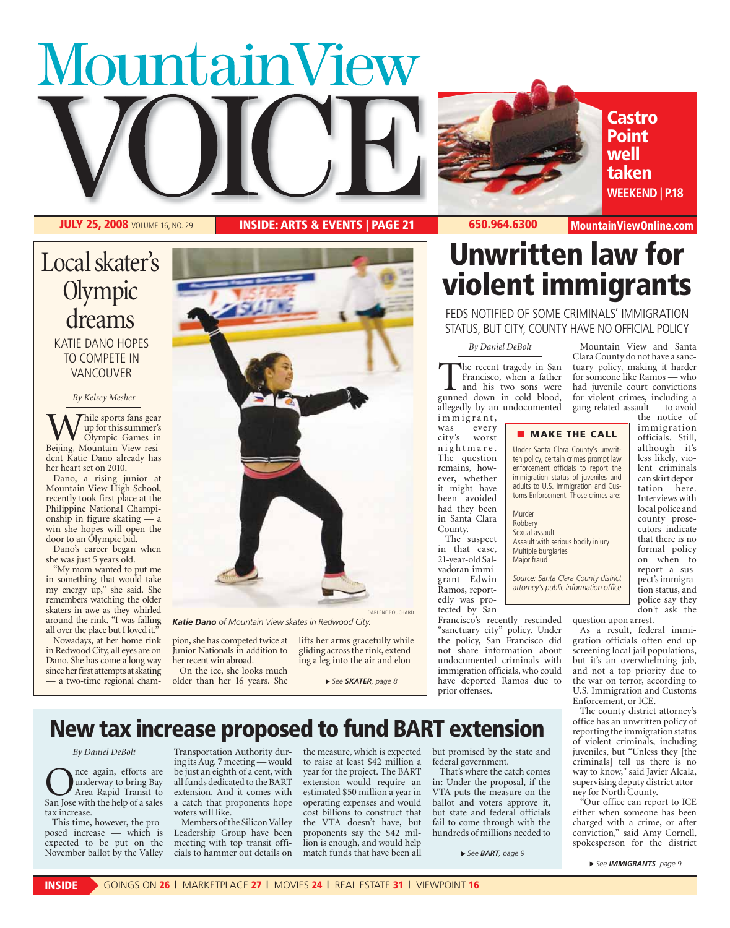# MountainView



**Castro Point well taken WEEKEND | P.18**

 **JULY 25, 2008** VOLUME 16, NO. 29 **INSIDE: ARTS & EVENTS | PAGE 21 650.964.6300 MountainViewOnline.com**

# Local skater's **Olympic** dreams KATIE DANO HOPES TO COMPETE IN VANCOUVER

## *By Kelsey Mesher*

While sports fans gear<br>
Up for this summer's<br>
Beijing, Mountain View resiup for this summer's Olympic Games in dent Katie Dano already has her heart set on 2010.

 Dano, a rising junior at Mountain View High School, recently took first place at the Philippine National Championship in figure skating win she hopes will open the door to an Olympic bid.

 Dano's career began when she was just 5 years old.

 "My mom wanted to put me in something that would take my energy up," she said. She remembers watching the older skaters in awe as they whirled around the rink. "I was falling all over the place but I loved it.'

 Nowadays, at her home rink in Redwood City, all eyes are on Dano. She has come a long way since her first attempts at skating — a two-time regional cham-



*Katie Dano of Mountain View skates in Redwood City.* 

pion, she has competed twice at Junior Nationals in addition to her recent win abroad.

 On the ice, she looks much older than her 16 years. She lifts her arms gracefully while gliding across the rink, extending a leg into the air and elon-

 *See SKATER, page 8*

# **Unwritten law for violent immigrants**

FEDS NOTIFIED OF SOME CRIMINALS' IMMIGRATION STATUS, BUT CITY, COUNTY HAVE NO OFFICIAL POLICY

### *By Daniel DeBolt*

The recent tragedy in San Francisco, when a father and his two sons were gunned down in cold blood, Francisco, when a father and his two sons were allegedly by an undocumented

im migrant, was every<br>city's worst worst nightmare. The question remains, however, whether it might have been avoided had they been in Santa Clara County.

 The suspect in that case, 21-year-old Salvadoran immigrant Edwin Ramos, reportedly was protected by San

Francisco's recently rescinded "sanctuary city" policy. Under the policy, San Francisco did not share information about undocumented criminals with immigration officials, who could have deported Ramos due to prior offenses.

 Mountain View and Santa Clara County do not have a sanctuary policy, making it harder for someone like Ramos — who had juvenile court convictions for violent crimes, including a gang-related assault — to avoid the notice of

immigrat ion officials. Still, although it's less likely, violent criminals can skirt deportation here. Interviews with local police and county prosecutors indicate that there is no formal policy on when to report a suspect's immigration status, and police say they don't ask the

# ■ **MAKE THE CALL**

Under Santa Clara County's unwritten policy, certain crimes prompt law enforcement officials to report the immigration status of juveniles and adults to U.S. Immigration and Customs Enforcement. Those crimes are:

Murder Robbery Sexual assault Assault with serious bodily injury Multiple burglaries Major fraud

*Source: Santa Clara County district attorney's public information office*

question upon arrest.

 As a result, federal immigration officials often end up screening local jail populations, but it's an overwhelming job, and not a top priority due to the war on terror, according to U.S. Immigration and Customs Enforcement, or ICE.

 The county district attorney's office has an unwritten policy of reporting the immigration status of violent criminals, including juveniles, but "Unless they [the criminals] tell us there is no way to know," said Javier Alcala, supervising deputy district attorney for North County.

 "Our office can report to ICE either when someone has been charged with a crime, or after conviction," said Amy Cornell, spokesperson for the district

 *See IMMIGRANTS, page 9*

**New tax increase proposed to fund BART extension**

*By Daniel DeBolt*

Once again, efforts are underway to bring Bay<br>Area Rapid Transit to<br>San Jose with the help of a sales underway to bring Bay Area Rapid Transit to tax increase.

 This time, however, the proposed increase — which is expected to be put on the November ballot by the Valley

Transportation Authority during its Aug. 7 meeting — would be just an eighth of a cent, with all funds dedicated to the BART extension. And it comes with a catch that proponents hope voters will like.

 Members of the Silicon Valley Leadership Group have been meeting with top transit officials to hammer out details on

the measure, which is expected to raise at least \$42 million a year for the project. The BART extension would require an estimated \$50 million a year in operating expenses and would cost billions to construct that the VTA doesn't have, but proponents say the \$42 million is enough, and would help match funds that have been all

but promised by the state and federal government.

 That's where the catch comes in: Under the proposal, if the VTA puts the measure on the ballot and voters approve it, but state and federal officials fail to come through with the hundreds of millions needed to

 *See BART, page 9*

**INSIDE** GOINGS ON **26** | MARKETPLACE **27** | MOVIES **24** | REAL ESTATE **31** | VIEWPOINT **16**